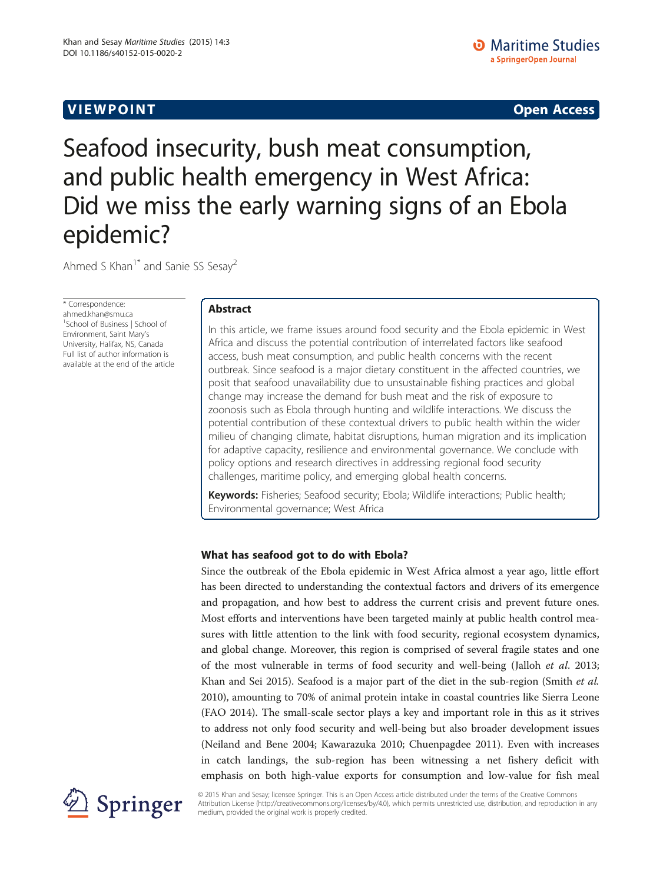# **VIEW POINT** And the contract of the contract of the contract of the contract of the contract of the contract of the contract of the contract of the contract of the contract of the contract of the contract of the contract

# Seafood insecurity, bush meat consumption, and public health emergency in West Africa: Did we miss the early warning signs of an Ebola epidemic?

Ahmed S Khan<sup>1\*</sup> and Sanie SS Sesay<sup>2</sup>

\* Correspondence: [ahmed.khan@smu.ca](mailto:ahmed.khan@smu.ca) <sup>1</sup>School of Business | School of Environment, Saint Mary's University, Halifax, NS, Canada Full list of author information is available at the end of the article

# Abstract

In this article, we frame issues around food security and the Ebola epidemic in West Africa and discuss the potential contribution of interrelated factors like seafood access, bush meat consumption, and public health concerns with the recent outbreak. Since seafood is a major dietary constituent in the affected countries, we posit that seafood unavailability due to unsustainable fishing practices and global change may increase the demand for bush meat and the risk of exposure to zoonosis such as Ebola through hunting and wildlife interactions. We discuss the potential contribution of these contextual drivers to public health within the wider milieu of changing climate, habitat disruptions, human migration and its implication for adaptive capacity, resilience and environmental governance. We conclude with policy options and research directives in addressing regional food security challenges, maritime policy, and emerging global health concerns.

Keywords: Fisheries; Seafood security; Ebola; Wildlife interactions; Public health; Environmental governance; West Africa

# What has seafood got to do with Ebola?

Since the outbreak of the Ebola epidemic in West Africa almost a year ago, little effort has been directed to understanding the contextual factors and drivers of its emergence and propagation, and how best to address the current crisis and prevent future ones. Most efforts and interventions have been targeted mainly at public health control measures with little attention to the link with food security, regional ecosystem dynamics, and global change. Moreover, this region is comprised of several fragile states and one of the most vulnerable in terms of food security and well-being (Jalloh et al. [2013](#page-10-0); Khan and Sei [2015\)](#page-10-0). Seafood is a major part of the diet in the sub-region (Smith et al. [2010](#page-11-0)), amounting to 70% of animal protein intake in coastal countries like Sierra Leone (FAO [2014](#page-10-0)). The small-scale sector plays a key and important role in this as it strives to address not only food security and well-being but also broader development issues (Neiland and Bene [2004;](#page-11-0) Kawarazuka [2010;](#page-10-0) Chuenpagdee [2011\)](#page-10-0). Even with increases in catch landings, the sub-region has been witnessing a net fishery deficit with emphasis on both high-value exports for consumption and low-value for fish meal



© 2015 Khan and Sesay; licensee Springer. This is an Open Access article distributed under the terms of the Creative Commons Attribution License [\(http://creativecommons.org/licenses/by/4.0\)](http://creativecommons.org/licenses/by/4.0), which permits unrestricted use, distribution, and reproduction in any medium, provided the original work is properly credited.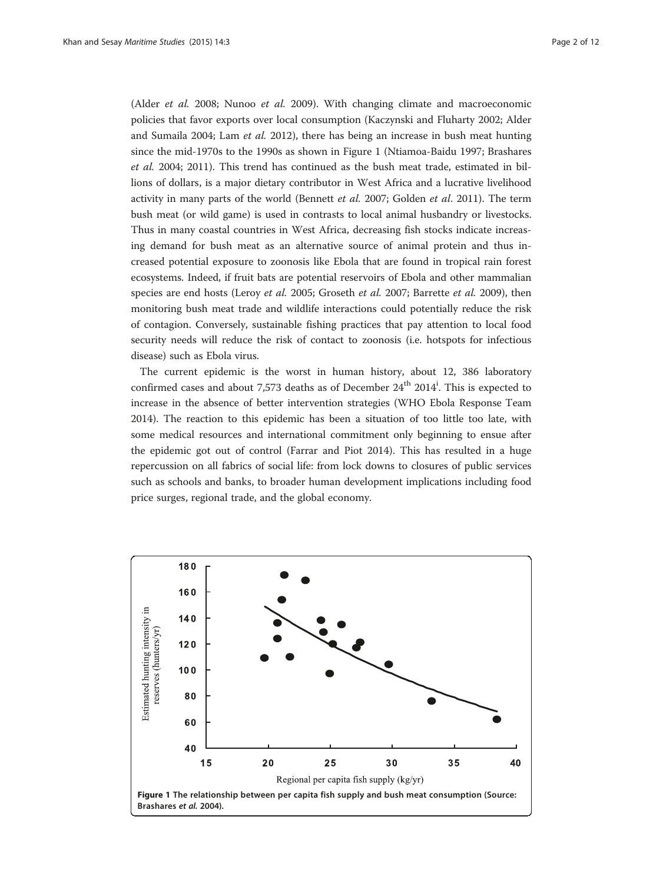(Alder et al. [2008;](#page-9-0) Nunoo et al. [2009](#page-11-0)). With changing climate and macroeconomic policies that favor exports over local consumption (Kaczynski and Fluharty [2002;](#page-10-0) Alder and Sumaila [2004;](#page-9-0) Lam et al. [2012\)](#page-10-0), there has being an increase in bush meat hunting since the mid-1970s to the 1990s as shown in Figure 1 (Ntiamoa-Baidu [1997](#page-11-0); Brashares et al. [2004](#page-9-0); [2011\)](#page-10-0). This trend has continued as the bush meat trade, estimated in billions of dollars, is a major dietary contributor in West Africa and a lucrative livelihood activity in many parts of the world (Bennett et al. [2007](#page-9-0); Golden et al. [2011\)](#page-10-0). The term bush meat (or wild game) is used in contrasts to local animal husbandry or livestocks. Thus in many coastal countries in West Africa, decreasing fish stocks indicate increasing demand for bush meat as an alternative source of animal protein and thus increased potential exposure to zoonosis like Ebola that are found in tropical rain forest ecosystems. Indeed, if fruit bats are potential reservoirs of Ebola and other mammalian species are end hosts (Leroy et al. [2005;](#page-10-0) Groseth et al. [2007;](#page-10-0) Barrette et al. [2009\)](#page-9-0), then monitoring bush meat trade and wildlife interactions could potentially reduce the risk of contagion. Conversely, sustainable fishing practices that pay attention to local food security needs will reduce the risk of contact to zoonosis (i.e. hotspots for infectious disease) such as Ebola virus.

The current epidemic is the worst in human history, about 12, 386 laboratory confirmed cases and about 7,573 deaths as of December 24<sup>th</sup> 2014<sup>i</sup>. This is expected to increase in the absence of better intervention strategies (WHO Ebola Response Team [2014](#page-11-0)). The reaction to this epidemic has been a situation of too little too late, with some medical resources and international commitment only beginning to ensue after the epidemic got out of control (Farrar and Piot [2014\)](#page-10-0). This has resulted in a huge repercussion on all fabrics of social life: from lock downs to closures of public services such as schools and banks, to broader human development implications including food price surges, regional trade, and the global economy.

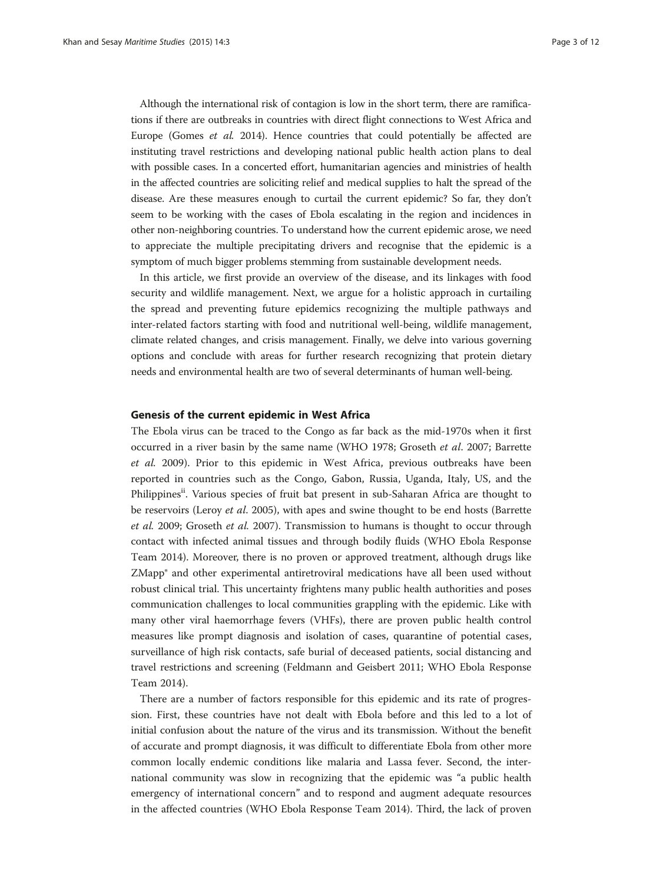Although the international risk of contagion is low in the short term, there are ramifications if there are outbreaks in countries with direct flight connections to West Africa and Europe (Gomes et al. [2014](#page-10-0)). Hence countries that could potentially be affected are instituting travel restrictions and developing national public health action plans to deal with possible cases. In a concerted effort, humanitarian agencies and ministries of health in the affected countries are soliciting relief and medical supplies to halt the spread of the disease. Are these measures enough to curtail the current epidemic? So far, they don't seem to be working with the cases of Ebola escalating in the region and incidences in other non-neighboring countries. To understand how the current epidemic arose, we need to appreciate the multiple precipitating drivers and recognise that the epidemic is a symptom of much bigger problems stemming from sustainable development needs.

In this article, we first provide an overview of the disease, and its linkages with food security and wildlife management. Next, we argue for a holistic approach in curtailing the spread and preventing future epidemics recognizing the multiple pathways and inter-related factors starting with food and nutritional well-being, wildlife management, climate related changes, and crisis management. Finally, we delve into various governing options and conclude with areas for further research recognizing that protein dietary needs and environmental health are two of several determinants of human well-being.

## Genesis of the current epidemic in West Africa

The Ebola virus can be traced to the Congo as far back as the mid-1970s when it first occurred in a river basin by the same name (WHO [1978;](#page-11-0) Groseth et al. [2007](#page-10-0); Barrette et al. [2009](#page-9-0)). Prior to this epidemic in West Africa, previous outbreaks have been reported in countries such as the Congo, Gabon, Russia, Uganda, Italy, US, and the Philippines<sup>ii</sup>. Various species of fruit bat present in sub-Saharan Africa are thought to be reservoirs (Leroy *et al.* [2005\)](#page-10-0), with apes and swine thought to be end hosts (Barrette et al. [2009;](#page-9-0) Groseth et al. [2007](#page-10-0)). Transmission to humans is thought to occur through contact with infected animal tissues and through bodily fluids (WHO Ebola Response Team [2014](#page-11-0)). Moreover, there is no proven or approved treatment, although drugs like ZMapp® and other experimental antiretroviral medications have all been used without robust clinical trial. This uncertainty frightens many public health authorities and poses communication challenges to local communities grappling with the epidemic. Like with many other viral haemorrhage fevers (VHFs), there are proven public health control measures like prompt diagnosis and isolation of cases, quarantine of potential cases, surveillance of high risk contacts, safe burial of deceased patients, social distancing and travel restrictions and screening (Feldmann and Geisbert [2011](#page-10-0); WHO Ebola Response Team [2014\)](#page-11-0).

There are a number of factors responsible for this epidemic and its rate of progression. First, these countries have not dealt with Ebola before and this led to a lot of initial confusion about the nature of the virus and its transmission. Without the benefit of accurate and prompt diagnosis, it was difficult to differentiate Ebola from other more common locally endemic conditions like malaria and Lassa fever. Second, the international community was slow in recognizing that the epidemic was "a public health emergency of international concern" and to respond and augment adequate resources in the affected countries (WHO Ebola Response Team [2014](#page-11-0)). Third, the lack of proven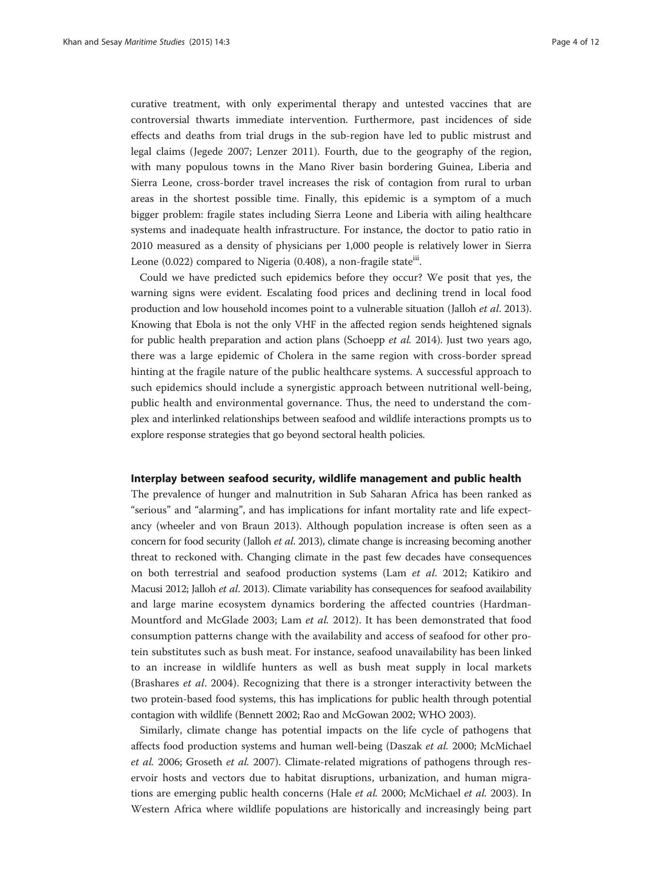curative treatment, with only experimental therapy and untested vaccines that are controversial thwarts immediate intervention. Furthermore, past incidences of side effects and deaths from trial drugs in the sub-region have led to public mistrust and legal claims (Jegede [2007](#page-10-0); Lenzer [2011](#page-10-0)). Fourth, due to the geography of the region, with many populous towns in the Mano River basin bordering Guinea, Liberia and Sierra Leone, cross-border travel increases the risk of contagion from rural to urban areas in the shortest possible time. Finally, this epidemic is a symptom of a much bigger problem: fragile states including Sierra Leone and Liberia with ailing healthcare systems and inadequate health infrastructure. For instance, the doctor to patio ratio in 2010 measured as a density of physicians per 1,000 people is relatively lower in Sierra Leone (0.022) compared to Nigeria (0.408), a non-fragile state<sup>iii</sup>.

Could we have predicted such epidemics before they occur? We posit that yes, the warning signs were evident. Escalating food prices and declining trend in local food production and low household incomes point to a vulnerable situation (Jalloh et al. [2013](#page-10-0)). Knowing that Ebola is not the only VHF in the affected region sends heightened signals for public health preparation and action plans (Schoepp et al. [2014\)](#page-11-0). Just two years ago, there was a large epidemic of Cholera in the same region with cross-border spread hinting at the fragile nature of the public healthcare systems. A successful approach to such epidemics should include a synergistic approach between nutritional well-being, public health and environmental governance. Thus, the need to understand the complex and interlinked relationships between seafood and wildlife interactions prompts us to explore response strategies that go beyond sectoral health policies.

## Interplay between seafood security, wildlife management and public health

The prevalence of hunger and malnutrition in Sub Saharan Africa has been ranked as "serious" and "alarming", and has implications for infant mortality rate and life expectancy (wheeler and von Braun [2013\)](#page-11-0). Although population increase is often seen as a concern for food security (Jalloh et al. [2013\)](#page-10-0), climate change is increasing becoming another threat to reckoned with. Changing climate in the past few decades have consequences on both terrestrial and seafood production systems (Lam et al. [2012](#page-10-0); Katikiro and Macusi [2012;](#page-10-0) Jalloh et al. [2013](#page-10-0)). Climate variability has consequences for seafood availability and large marine ecosystem dynamics bordering the affected countries (Hardman-Mountford and McGlade [2003;](#page-10-0) Lam et al. [2012](#page-10-0)). It has been demonstrated that food consumption patterns change with the availability and access of seafood for other protein substitutes such as bush meat. For instance, seafood unavailability has been linked to an increase in wildlife hunters as well as bush meat supply in local markets (Brashares et al. [2004](#page-9-0)). Recognizing that there is a stronger interactivity between the two protein-based food systems, this has implications for public health through potential contagion with wildlife (Bennett [2002](#page-9-0); Rao and McGowan [2002](#page-11-0); WHO [2003](#page-11-0)).

Similarly, climate change has potential impacts on the life cycle of pathogens that affects food production systems and human well-being (Daszak et al. [2000](#page-10-0); McMichael et al. [2006;](#page-10-0) Groseth et al. [2007](#page-10-0)). Climate-related migrations of pathogens through reservoir hosts and vectors due to habitat disruptions, urbanization, and human migra-tions are emerging public health concerns (Hale et al. [2000](#page-10-0); McMichael et al. [2003](#page-10-0)). In Western Africa where wildlife populations are historically and increasingly being part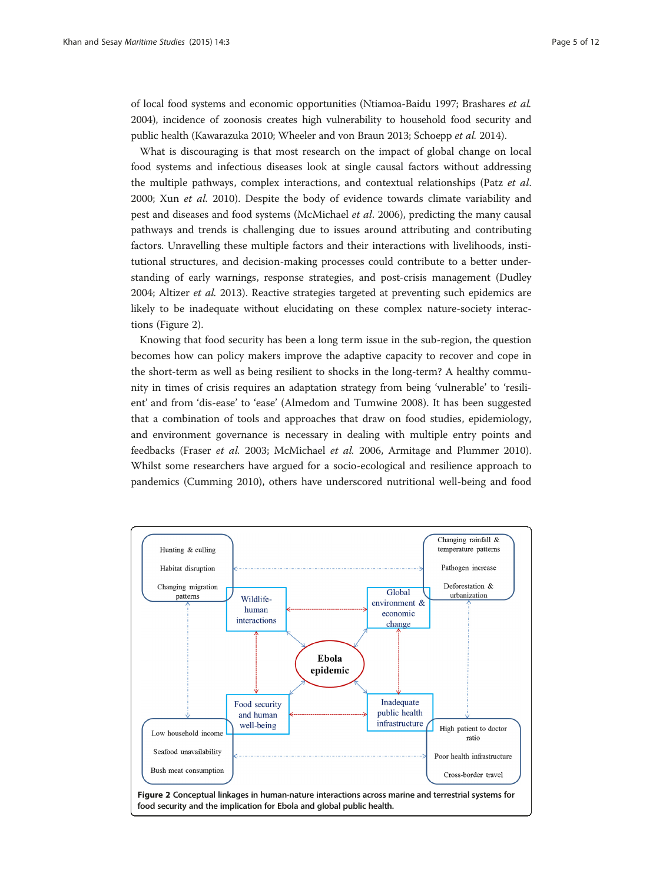<span id="page-4-0"></span>of local food systems and economic opportunities (Ntiamoa-Baidu [1997;](#page-11-0) Brashares et al. [2004\)](#page-9-0), incidence of zoonosis creates high vulnerability to household food security and public health (Kawarazuka [2010](#page-10-0); Wheeler and von Braun [2013](#page-11-0); Schoepp et al. [2014](#page-11-0)).

What is discouraging is that most research on the impact of global change on local food systems and infectious diseases look at single causal factors without addressing the multiple pathways, complex interactions, and contextual relationships (Patz et al. [2000](#page-11-0); Xun et al. [2010\)](#page-11-0). Despite the body of evidence towards climate variability and pest and diseases and food systems (McMichael et al. [2006](#page-10-0)), predicting the many causal pathways and trends is challenging due to issues around attributing and contributing factors. Unravelling these multiple factors and their interactions with livelihoods, institutional structures, and decision-making processes could contribute to a better understanding of early warnings, response strategies, and post-crisis management (Dudley [2004](#page-10-0); Altizer et al. [2013](#page-9-0)). Reactive strategies targeted at preventing such epidemics are likely to be inadequate without elucidating on these complex nature-society interactions (Figure 2).

Knowing that food security has been a long term issue in the sub-region, the question becomes how can policy makers improve the adaptive capacity to recover and cope in the short-term as well as being resilient to shocks in the long-term? A healthy community in times of crisis requires an adaptation strategy from being 'vulnerable' to 'resilient' and from 'dis-ease' to 'ease' (Almedom and Tumwine [2008](#page-9-0)). It has been suggested that a combination of tools and approaches that draw on food studies, epidemiology, and environment governance is necessary in dealing with multiple entry points and feedbacks (Fraser et al. [2003;](#page-10-0) McMichael et al. [2006](#page-10-0), Armitage and Plummer [2010](#page-9-0)). Whilst some researchers have argued for a socio-ecological and resilience approach to pandemics (Cumming [2010\)](#page-10-0), others have underscored nutritional well-being and food

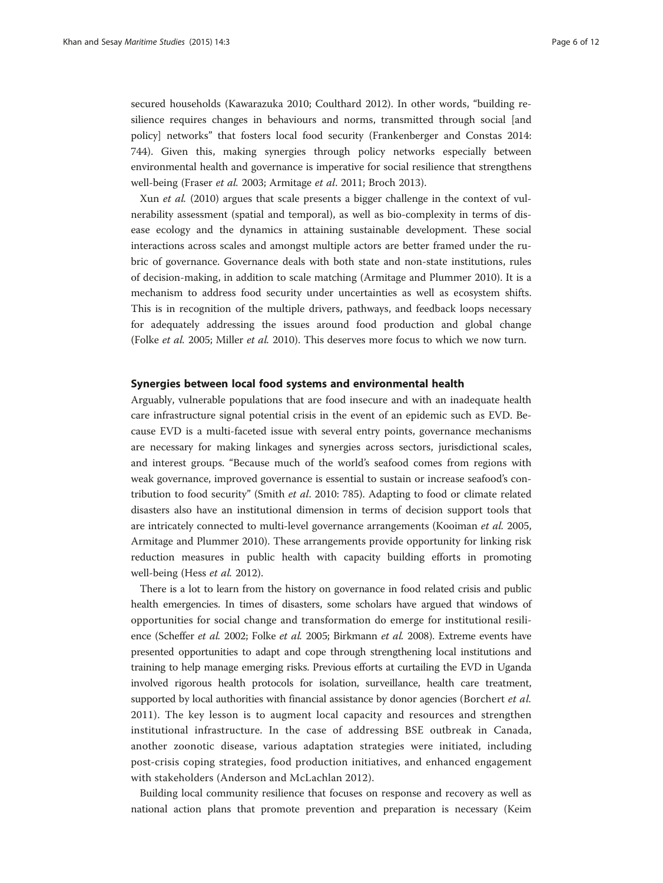secured households (Kawarazuka [2010;](#page-10-0) Coulthard [2012](#page-10-0)). In other words, "building resilience requires changes in behaviours and norms, transmitted through social [and policy] networks" that fosters local food security (Frankenberger and Constas [2014](#page-10-0): 744). Given this, making synergies through policy networks especially between environmental health and governance is imperative for social resilience that strengthens well-being (Fraser et al. [2003;](#page-10-0) Armitage et al. [2011](#page-9-0); Broch [2013](#page-10-0)).

Xun et al. [\(2010\)](#page-11-0) argues that scale presents a bigger challenge in the context of vulnerability assessment (spatial and temporal), as well as bio-complexity in terms of disease ecology and the dynamics in attaining sustainable development. These social interactions across scales and amongst multiple actors are better framed under the rubric of governance. Governance deals with both state and non-state institutions, rules of decision-making, in addition to scale matching (Armitage and Plummer [2010](#page-9-0)). It is a mechanism to address food security under uncertainties as well as ecosystem shifts. This is in recognition of the multiple drivers, pathways, and feedback loops necessary for adequately addressing the issues around food production and global change (Folke et al. [2005;](#page-10-0) Miller et al. [2010\)](#page-11-0). This deserves more focus to which we now turn.

## Synergies between local food systems and environmental health

Arguably, vulnerable populations that are food insecure and with an inadequate health care infrastructure signal potential crisis in the event of an epidemic such as EVD. Because EVD is a multi-faceted issue with several entry points, governance mechanisms are necessary for making linkages and synergies across sectors, jurisdictional scales, and interest groups. "Because much of the world's seafood comes from regions with weak governance, improved governance is essential to sustain or increase seafood's contribution to food security" (Smith et al. [2010:](#page-11-0) 785). Adapting to food or climate related disasters also have an institutional dimension in terms of decision support tools that are intricately connected to multi-level governance arrangements (Kooiman et al. [2005](#page-10-0), Armitage and Plummer [2010](#page-9-0)). These arrangements provide opportunity for linking risk reduction measures in public health with capacity building efforts in promoting well-being (Hess et al. [2012](#page-10-0)).

There is a lot to learn from the history on governance in food related crisis and public health emergencies. In times of disasters, some scholars have argued that windows of opportunities for social change and transformation do emerge for institutional resilience (Scheffer et al. [2002;](#page-11-0) Folke et al. [2005](#page-10-0); Birkmann et al. [2008](#page-9-0)). Extreme events have presented opportunities to adapt and cope through strengthening local institutions and training to help manage emerging risks. Previous efforts at curtailing the EVD in Uganda involved rigorous health protocols for isolation, surveillance, health care treatment, supported by local authorities with financial assistance by donor agencies (Borchert et al. [2011](#page-9-0)). The key lesson is to augment local capacity and resources and strengthen institutional infrastructure. In the case of addressing BSE outbreak in Canada, another zoonotic disease, various adaptation strategies were initiated, including post-crisis coping strategies, food production initiatives, and enhanced engagement with stakeholders (Anderson and McLachlan [2012\)](#page-9-0).

Building local community resilience that focuses on response and recovery as well as national action plans that promote prevention and preparation is necessary (Keim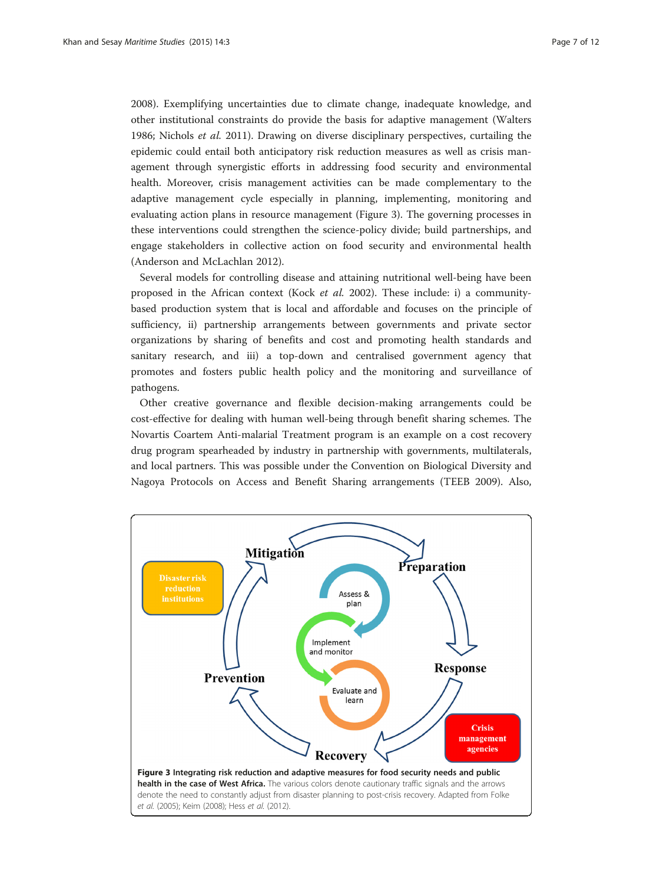[2008](#page-10-0)). Exemplifying uncertainties due to climate change, inadequate knowledge, and other institutional constraints do provide the basis for adaptive management (Walters [1986](#page-11-0); Nichols et al. [2011](#page-11-0)). Drawing on diverse disciplinary perspectives, curtailing the epidemic could entail both anticipatory risk reduction measures as well as crisis management through synergistic efforts in addressing food security and environmental health. Moreover, crisis management activities can be made complementary to the adaptive management cycle especially in planning, implementing, monitoring and evaluating action plans in resource management (Figure 3). The governing processes in these interventions could strengthen the science-policy divide; build partnerships, and engage stakeholders in collective action on food security and environmental health (Anderson and McLachlan [2012](#page-9-0)).

Several models for controlling disease and attaining nutritional well-being have been proposed in the African context (Kock et al. [2002](#page-10-0)). These include: i) a communitybased production system that is local and affordable and focuses on the principle of sufficiency, ii) partnership arrangements between governments and private sector organizations by sharing of benefits and cost and promoting health standards and sanitary research, and iii) a top-down and centralised government agency that promotes and fosters public health policy and the monitoring and surveillance of pathogens.

Other creative governance and flexible decision-making arrangements could be cost-effective for dealing with human well-being through benefit sharing schemes. The Novartis Coartem Anti-malarial Treatment program is an example on a cost recovery drug program spearheaded by industry in partnership with governments, multilaterals, and local partners. This was possible under the Convention on Biological Diversity and Nagoya Protocols on Access and Benefit Sharing arrangements (TEEB [2009\)](#page-11-0). Also,

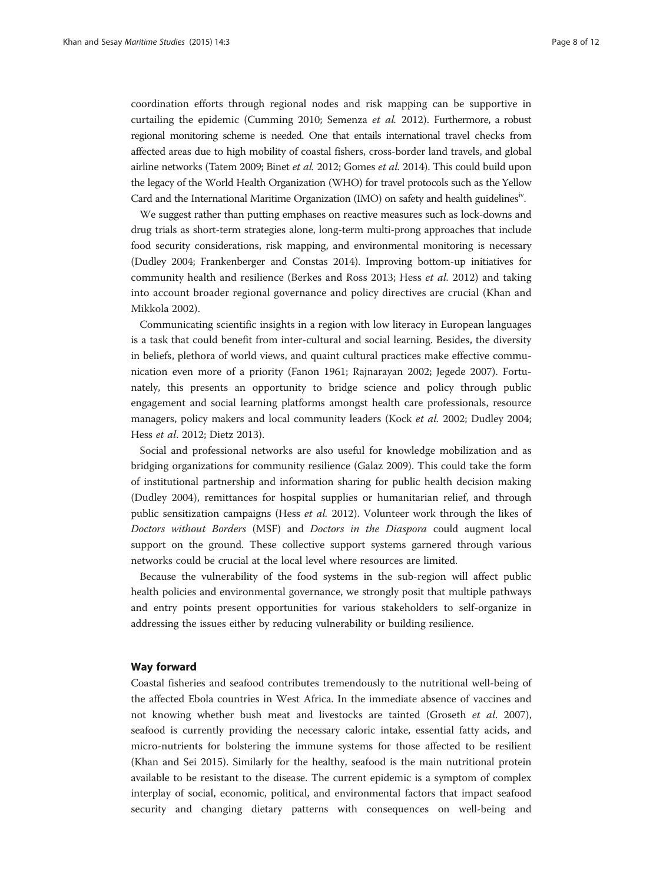coordination efforts through regional nodes and risk mapping can be supportive in curtailing the epidemic (Cumming [2010](#page-10-0); Semenza et al. [2012](#page-11-0)). Furthermore, a robust regional monitoring scheme is needed. One that entails international travel checks from affected areas due to high mobility of coastal fishers, cross-border land travels, and global airline networks (Tatem [2009;](#page-11-0) Binet et al. [2012](#page-9-0); Gomes et al. [2014](#page-10-0)). This could build upon the legacy of the World Health Organization (WHO) for travel protocols such as the Yellow Card and the International Maritime Organization (IMO) on safety and health guidelinesiv.

We suggest rather than putting emphases on reactive measures such as lock-downs and drug trials as short-term strategies alone, long-term multi-prong approaches that include food security considerations, risk mapping, and environmental monitoring is necessary (Dudley [2004](#page-10-0); Frankenberger and Constas [2014\)](#page-10-0). Improving bottom-up initiatives for community health and resilience (Berkes and Ross [2013;](#page-9-0) Hess et al. [2012\)](#page-10-0) and taking into account broader regional governance and policy directives are crucial (Khan and Mikkola [2002](#page-10-0)).

Communicating scientific insights in a region with low literacy in European languages is a task that could benefit from inter-cultural and social learning. Besides, the diversity in beliefs, plethora of world views, and quaint cultural practices make effective communication even more of a priority (Fanon [1961;](#page-10-0) Rajnarayan [2002;](#page-11-0) Jegede [2007](#page-10-0)). Fortunately, this presents an opportunity to bridge science and policy through public engagement and social learning platforms amongst health care professionals, resource managers, policy makers and local community leaders (Kock et al. [2002;](#page-10-0) Dudley [2004](#page-10-0); Hess et al. [2012](#page-10-0); Dietz [2013](#page-10-0)).

Social and professional networks are also useful for knowledge mobilization and as bridging organizations for community resilience (Galaz [2009\)](#page-10-0). This could take the form of institutional partnership and information sharing for public health decision making (Dudley [2004\)](#page-10-0), remittances for hospital supplies or humanitarian relief, and through public sensitization campaigns (Hess et al. [2012\)](#page-10-0). Volunteer work through the likes of Doctors without Borders (MSF) and Doctors in the Diaspora could augment local support on the ground. These collective support systems garnered through various networks could be crucial at the local level where resources are limited.

Because the vulnerability of the food systems in the sub-region will affect public health policies and environmental governance, we strongly posit that multiple pathways and entry points present opportunities for various stakeholders to self-organize in addressing the issues either by reducing vulnerability or building resilience.

### Way forward

Coastal fisheries and seafood contributes tremendously to the nutritional well-being of the affected Ebola countries in West Africa. In the immediate absence of vaccines and not knowing whether bush meat and livestocks are tainted (Groseth et al. [2007](#page-10-0)), seafood is currently providing the necessary caloric intake, essential fatty acids, and micro-nutrients for bolstering the immune systems for those affected to be resilient (Khan and Sei [2015](#page-10-0)). Similarly for the healthy, seafood is the main nutritional protein available to be resistant to the disease. The current epidemic is a symptom of complex interplay of social, economic, political, and environmental factors that impact seafood security and changing dietary patterns with consequences on well-being and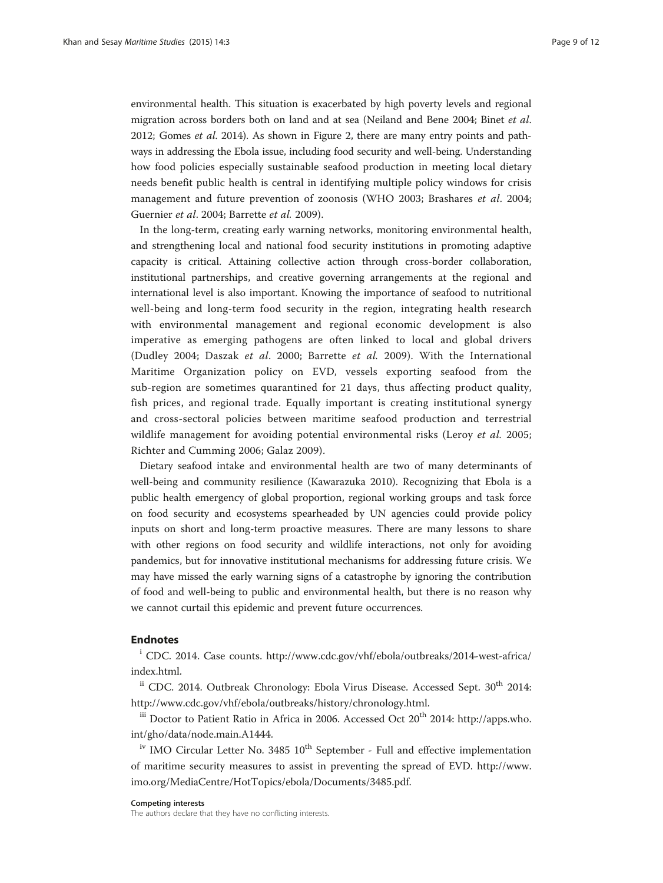environmental health. This situation is exacerbated by high poverty levels and regional migration across borders both on land and at sea (Neiland and Bene [2004](#page-11-0); Binet et al. [2012](#page-9-0); Gomes et al. [2014](#page-10-0)). As shown in Figure [2](#page-4-0), there are many entry points and pathways in addressing the Ebola issue, including food security and well-being. Understanding how food policies especially sustainable seafood production in meeting local dietary needs benefit public health is central in identifying multiple policy windows for crisis management and future prevention of zoonosis (WHO [2003;](#page-11-0) Brashares et al. [2004](#page-9-0); Guernier et al. [2004;](#page-10-0) Barrette et al. [2009](#page-9-0)).

In the long-term, creating early warning networks, monitoring environmental health, and strengthening local and national food security institutions in promoting adaptive capacity is critical. Attaining collective action through cross-border collaboration, institutional partnerships, and creative governing arrangements at the regional and international level is also important. Knowing the importance of seafood to nutritional well-being and long-term food security in the region, integrating health research with environmental management and regional economic development is also imperative as emerging pathogens are often linked to local and global drivers (Dudley [2004;](#page-10-0) Daszak et al. [2000](#page-10-0); Barrette et al. [2009\)](#page-9-0). With the International Maritime Organization policy on EVD, vessels exporting seafood from the sub-region are sometimes quarantined for 21 days, thus affecting product quality, fish prices, and regional trade. Equally important is creating institutional synergy and cross-sectoral policies between maritime seafood production and terrestrial wildlife management for avoiding potential environmental risks (Leroy et al. [2005](#page-10-0); Richter and Cumming [2006;](#page-11-0) Galaz [2009\)](#page-10-0).

Dietary seafood intake and environmental health are two of many determinants of well-being and community resilience (Kawarazuka [2010](#page-10-0)). Recognizing that Ebola is a public health emergency of global proportion, regional working groups and task force on food security and ecosystems spearheaded by UN agencies could provide policy inputs on short and long-term proactive measures. There are many lessons to share with other regions on food security and wildlife interactions, not only for avoiding pandemics, but for innovative institutional mechanisms for addressing future crisis. We may have missed the early warning signs of a catastrophe by ignoring the contribution of food and well-being to public and environmental health, but there is no reason why we cannot curtail this epidemic and prevent future occurrences.

# Endnotes

<sup>i</sup> CDC. 2014. Case counts. [http://www.cdc.gov/vhf/ebola/outbreaks/2014-west-africa/](http://www.cdc.gov/vhf/ebola/outbreaks/2014-west-africa/index.html) [index.html](http://www.cdc.gov/vhf/ebola/outbreaks/2014-west-africa/index.html).

<sup>ii</sup> CDC. 2014. Outbreak Chronology: Ebola Virus Disease. Accessed Sept. 30<sup>th</sup> 2014: <http://www.cdc.gov/vhf/ebola/outbreaks/history/chronology.html>.

<sup>iii</sup> Doctor to Patient Ratio in Africa in 2006. Accessed Oct 20<sup>th</sup> 2014: [http://apps.who.](http://apps.who.int/gho/data/node.main.A1444) [int/gho/data/node.main.A1444](http://apps.who.int/gho/data/node.main.A1444).

 $i<sup>v</sup>$  IMO Circular Letter No. 3485  $10<sup>th</sup>$  September - Full and effective implementation of maritime security measures to assist in preventing the spread of EVD. [http://www.](http://www.imo.org/MediaCentre/HotTopics/ebola/Documents/3485.pdf) [imo.org/MediaCentre/HotTopics/ebola/Documents/3485.pdf.](http://www.imo.org/MediaCentre/HotTopics/ebola/Documents/3485.pdf)

#### Competing interests

The authors declare that they have no conflicting interests.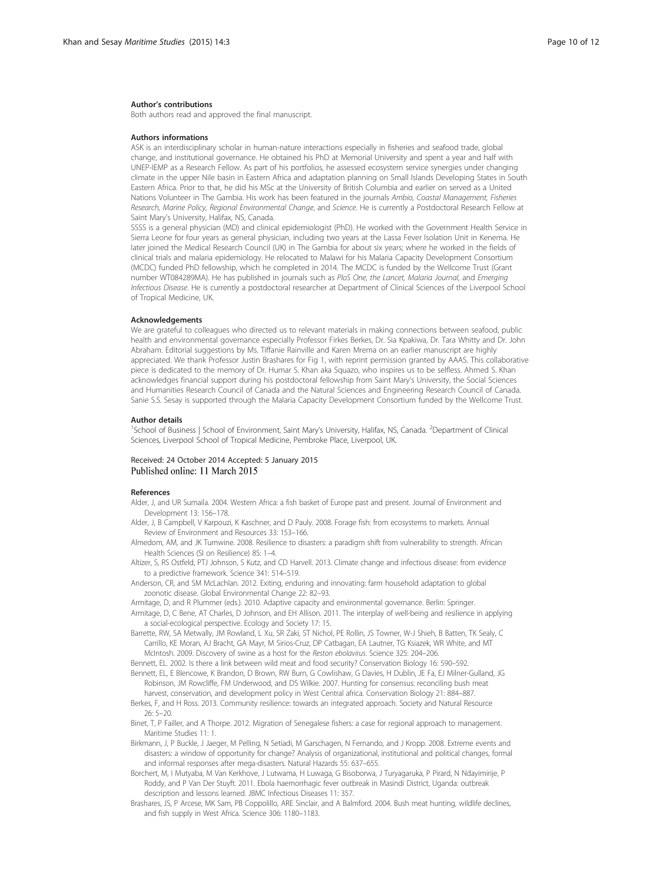#### <span id="page-9-0"></span>Author's contributions

Both authors read and approved the final manuscript.

#### Authors informations

ASK is an interdisciplinary scholar in human-nature interactions especially in fisheries and seafood trade, global change, and institutional governance. He obtained his PhD at Memorial University and spent a year and half with UNEP-IEMP as a Research Fellow. As part of his portfolios, he assessed ecosystem service synergies under changing climate in the upper Nile basin in Eastern Africa and adaptation planning on Small Islands Developing States in South Eastern Africa. Prior to that, he did his MSc at the University of British Columbia and earlier on served as a United Nations Volunteer in The Gambia. His work has been featured in the journals Ambio, Coastal Management, Fisheries Research, Marine Policy, Regional Environmental Change, and Science. He is currently a Postdoctoral Research Fellow at Saint Mary's University, Halifax, NS, Canada.

SSSS is a general physician (MD) and clinical epidemiologist (PhD). He worked with the Government Health Service in Sierra Leone for four years as general physician, including two years at the Lassa Fever Isolation Unit in Kenema. He later joined the Medical Research Council (UK) in The Gambia for about six years; where he worked in the fields of clinical trials and malaria epidemiology. He relocated to Malawi for his Malaria Capacity Development Consortium (MCDC) funded PhD fellowship, which he completed in 2014. The MCDC is funded by the Wellcome Trust (Grant number WT084289MA). He has published in journals such as PloS One, the Lancet, Malaria Journal, and Emerging Infectious Disease. He is currently a postdoctoral researcher at Department of Clinical Sciences of the Liverpool School of Tropical Medicine, UK.

#### Acknowledgements

We are grateful to colleagues who directed us to relevant materials in making connections between seafood, public health and environmental governance especially Professor Firkes Berkes, Dr. Sia Kpakiwa, Dr. Tara Whitty and Dr. John Abraham. Editorial suggestions by Ms. Tiffanie Rainville and Karen Mrema on an earlier manuscript are highly appreciated. We thank Professor Justin Brashares for Fig 1, with reprint permission granted by AAAS. This collaborative piece is dedicated to the memory of Dr. Humar S. Khan aka Squazo, who inspires us to be selfless. Ahmed S. Khan acknowledges financial support during his postdoctoral fellowship from Saint Mary's University, the Social Sciences and Humanities Research Council of Canada and the Natural Sciences and Engineering Research Council of Canada. Sanie S.S. Sesay is supported through the Malaria Capacity Development Consortium funded by the Wellcome Trust.

#### Author details

<sup>1</sup>School of Business | School of Environment, Saint Mary's University, Halifax, NS, Canada. <sup>2</sup>Department of Clinical Sciences, Liverpool School of Tropical Medicine, Pembroke Place, Liverpool, UK.

# Received: 24 October 2014 Accepted: 5 January 2015 Published online: 11 March 2015

#### References

- Alder, J, and UR Sumaila. 2004. Western Africa: a fish basket of Europe past and present. Journal of Environment and Development 13: 156–178.
- Alder, J, B Campbell, V Karpouzi, K Kaschner, and D Pauly. 2008. Forage fish: from ecosystems to markets. Annual Review of Environment and Resources 33: 153–166.
- Almedom, AM, and JK Tumwine. 2008. Resilience to disasters: a paradigm shift from vulnerability to strength. African Health Sciences (SI on Resilience) 8S: 1–4.
- Altizer, S, RS Ostfeld, PTJ Johnson, S Kutz, and CD Harvell. 2013. Climate change and infectious disease: from evidence to a predictive framework. Science 341: 514–519.
- Anderson, CR, and SM McLachlan. 2012. Exiting, enduring and innovating: farm household adaptation to global zoonotic disease. Global Environmental Change 22: 82–93.
- Armitage, D, and R Plummer (eds.). 2010. Adaptive capacity and environmental governance. Berlin: Springer.
- Armitage, D, C Bene, AT Charles, D Johnson, and EH Allison. 2011. The interplay of well-being and resilience in applying a social-ecological perspective. Ecology and Society 17: 15.
- Barrette, RW, SA Metwally, JM Rowland, L Xu, SR Zaki, ST Nichol, PE Rollin, JS Towner, W-J Shieh, B Batten, TK Sealy, C Carrillo, KE Moran, AJ Bracht, GA Mayr, M Sirios-Cruz, DP Catbagan, EA Lautner, TG Ksiazek, WR White, and MT McIntosh. 2009. Discovery of swine as a host for the Reston ebolavirus. Science 325: 204–206.
- Bennett, EL. 2002. Is there a link between wild meat and food security? Conservation Biology 16: 590–592.
- Bennett, EL, E Blencowe, K Brandon, D Brown, RW Burn, G Cowlishaw, G Davies, H Dublin, JE Fa, EJ Milner-Gulland, JG Robinson, JM Rowcliffe, FM Underwood, and DS Wilkie. 2007. Hunting for consensus: reconciling bush meat harvest, conservation, and development policy in West Central africa. Conservation Biology 21: 884–887.
- Berkes, F, and H Ross. 2013. Community resilience: towards an integrated approach. Society and Natural Resource 26: 5–20.
- Binet, T, P Failler, and A Thorpe. 2012. Migration of Senegalese fishers: a case for regional approach to management. Maritime Studies 11: 1.
- Birkmann, J, P Buckle, J Jaeger, M Pelling, N Setiadi, M Garschagen, N Fernando, and J Kropp. 2008. Extreme events and disasters: a window of opportunity for change? Analysis of organizational, institutional and political changes, formal and informal responses after mega-disasters. Natural Hazards 55: 637–655.
- Borchert, M, I Mutyaba, M Van Kerkhove, J Lutwama, H Luwaga, G Bisoborwa, J Turyagaruka, P Pirard, N Ndayimirije, P Roddy, and P Van Der Stuyft. 2011. Ebola haemorrhagic fever outbreak in Masindi District, Uganda: outbreak description and lessons learned. JBMC Infectious Diseases 11: 357.
- Brashares, JS, P Arcese, MK Sam, PB Coppolillo, ARE Sinclair, and A Balmford. 2004. Bush meat hunting, wildlife declines, and fish supply in West Africa. Science 306: 1180–1183.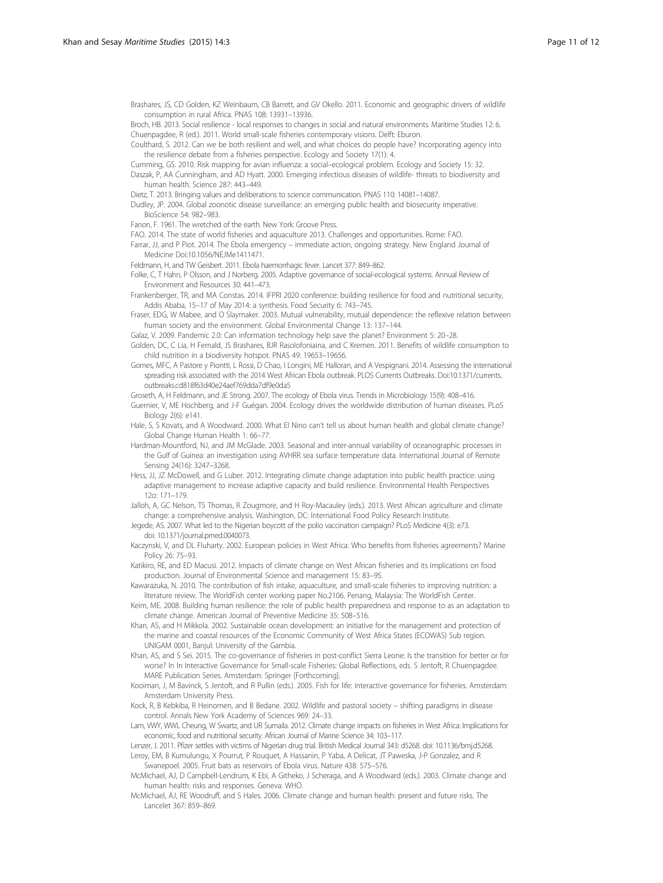<span id="page-10-0"></span>Brashares, JS, CD Golden, KZ Weinbaum, CB Barrett, and GV Okello. 2011. Economic and geographic drivers of wildlife consumption in rural Africa. PNAS 108: 13931–13936.

Broch, HB. 2013. Social resilience - local responses to changes in social and natural environments. Maritime Studies 12: 6. Chuenpagdee, R (ed.). 2011. World small-scale fisheries contemporary visions. Delft: Eburon.

Coulthard, S. 2012. Can we be both resilient and well, and what choices do people have? Incorporating agency into the resilience debate from a fisheries perspective. Ecology and Society 17(1): 4.

Cumming, GS. 2010. Risk mapping for avian influenza: a social–ecological problem. Ecology and Society 15: 32. Daszak, P, AA Cunningham, and AD Hyatt. 2000. Emerging infectious diseases of wildlife- threats to biodiversity and

human health. Science 287: 443–449.

Dietz, T. 2013. Bringing values and deliberations to science communication. PNAS 110: 14081–14087.

Dudley, JP. 2004. Global zoonotic disease surveillance: an emerging public health and biosecurity imperative. BioScience 54: 982–983.

Fanon, F. 1961. The wretched of the earth. New York: Groove Press.

FAO. 2014. The state of world fisheries and aquaculture 2013. Challenges and opportunities. Rome: FAO.

Farrar, JJ, and P Piot. 2014. The Ebola emergency – immediate action, ongoing strategy. New England Journal of Medicine Doi:10.1056/NEJMe1411471.

Feldmann, H, and TW Geisbert. 2011. Ebola haemorrhagic fever. Lancet 377: 849–862.

Folke, C, T Hahn, P Olsson, and J Norberg. 2005. Adaptive governance of social-ecological systems. Annual Review of Environment and Resources 30: 441–473.

Frankenberger, TR, and MA Constas. 2014. IFPRI 2020 conference: building resilience for food and nutritional security, Addis Ababa, 15–17 of May 2014: a synthesis. Food Security 6: 743–745.

Fraser, EDG, W Mabee, and O Slaymaker. 2003. Mutual vulnerability, mutual dependence: the reflexive relation between human society and the environment. Global Environmental Change 13: 137–144.

Galaz, V. 2009. Pandemic 2.0: Can information technology help save the planet? Environment 5: 20–28.

Golden, DC, C Lia, H Fernald, JS Brashares, BJR Rasolofoniaina, and C Kremen. 2011. Benefits of wildlife consumption to child nutrition in a biodiversity hotspot. PNAS 49: 19653–19656.

Gomes, MFC, A Pastore y Piontti, L Rossi, D Chao, I Longini, ME Halloran, and A Vespignani. 2014. Assessing the international spreading risk associated with the 2014 West African Ebola outbreak. PLOS Currents Outbreaks. Doi:10.1371/currents. outbreaks.cd818f63d40e24aef769dda7df9e0da5

Groseth, A, H Feldmann, and JE Strong. 2007. The ecology of Ebola virus. Trends in Microbiology 15(9): 408–416.

- Guernier, V, ME Hochberg, and J-F Guégan. 2004. Ecology drives the worldwide distribution of human diseases. PLoS Biology 2(6): e141.
- Hale, S, S Kovats, and A Woodward. 2000. What El Nino can't tell us about human health and global climate change? Global Change Human Health 1: 66–77.

Hardman-Mountford, NJ, and JM McGlade. 2003. Seasonal and inter-annual variability of oceanographic processes in the Gulf of Guinea: an investigation using AVHRR sea surface temperature data. International Journal of Remote Sensing 24(16): 3247–3268.

Hess, JJ, JZ McDowell, and G Luber. 2012. Integrating climate change adaptation into public health practice: using adaptive management to increase adaptive capacity and build resilience. Environmental Health Perspectives 12o: 171–179.

Jalloh, A, GC Nelson, TS Thomas, R Zougmore, and H Roy-Macauley (eds.). 2013. West African agriculture and climate change: a comprehensive analysis. Washington, DC: International Food Policy Research Institute.

Jegede, AS. 2007. What led to the Nigerian boycott of the polio vaccination campaign? PLoS Medicine 4(3): e73. doi: 10.1371/journal.pmed.0040073.

Kaczynski, V, and DL Fluharty. 2002. European policies in West Africa: Who benefits from fisheries agreements? Marine Policy 26: 75–93.

Katikiro, RE, and ED Macusi. 2012. Impacts of climate change on West African fisheries and its implications on food production. Journal of Environmental Science and management 15: 83–95.

Kawarazuka, N. 2010. The contribution of fish intake, aquaculture, and small-scale fisheries to improving nutrition: a literature review. The WorldFish center working paper No.2106. Penang, Malaysia: The WorldFish Center.

Keim, ME. 2008. Building human resilience: the role of public health preparedness and response to as an adaptation to climate change. American Journal of Preventive Medicine 35: 508–516.

Khan, AS, and H Mikkola. 2002. Sustainable ocean development: an initiative for the management and protection of the marine and coastal resources of the Economic Community of West Africa States (ECOWAS) Sub region. UNIGAM 0001, Banjul: University of the Gambia.

Khan, AS, and S Sei. 2015. The co-governance of fisheries in post-conflict Sierra Leone: Is the transition for better or for worse? In In Interactive Governance for Small-scale Fisheries: Global Reflections, eds. S Jentoft, R Chuenpagdee. MARE Publication Series. Amsterdam: Springer [Forthcoming].

Kooiman, J, M Bavinck, S Jentoft, and R Pullin (eds.). 2005. Fish for life: interactive governance for fisheries. Amsterdam: Amsterdam University Press.

Kock, R, B Kebkiba, R Heinomen, and B Bedane. 2002. Wildlife and pastoral society – shifting paradigms in disease control. Annals New York Academy of Sciences 969: 24–33.

Lam, VWY, WWL Cheung, W Swartz, and UR Sumaila. 2012. Climate change impacts on fisheries in West Africa: Implications for economic, food and nutritional security. African Journal of Marine Science 34: 103–117.

Lenzer, J. 2011. Pfizer settles with victims of Nigerian drug trial. British Medical Journal 343: d5268. doi: 10.1136/bmj.d5268. Leroy, EM, B Kumulungu, X Pourrut, P Rouquet, A Hassanin, P Yaba, A Delicat, JT Paweska, J-P Gonzalez, and R

Swanepoel. 2005. Fruit bats as reservoirs of Ebola virus. Nature 438: 575–576.

McMichael, AJ, D Campbell-Lendrum, K Ebi, A Githeko, J Scheraga, and A Woodward (eds.). 2003. Climate change and human health: risks and responses. Geneva: WHO.

McMichael, AJ, RE Woodruff, and S Hales. 2006. Climate change and human health: present and future risks. The Lancelet 367: 859–869.